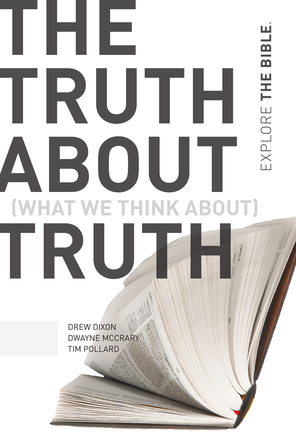# **THE**  ш **BIBLE TRUTHE ABOUT (WHAT WE THINK ABOUT) TRUTH**

DREW DIXON DWAYNE MCCRARY TIM POLLARD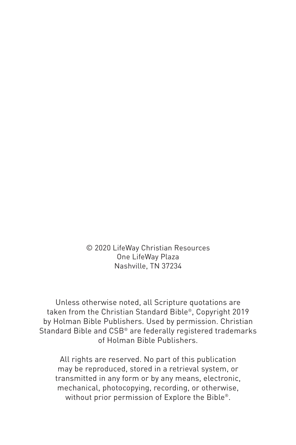© 2020 LifeWay Christian Resources One LifeWay Plaza Nashville, TN 37234

Unless otherwise noted, all Scripture quotations are taken from the Christian Standard Bible®, Copyright 2019 by Holman Bible Publishers. Used by permission. Christian Standard Bible and CSB® are federally registered trademarks of Holman Bible Publishers.

All rights are reserved. No part of this publication may be reproduced, stored in a retrieval system, or transmitted in any form or by any means, electronic, mechanical, photocopying, recording, or otherwise, without prior permission of Explore the Bible®.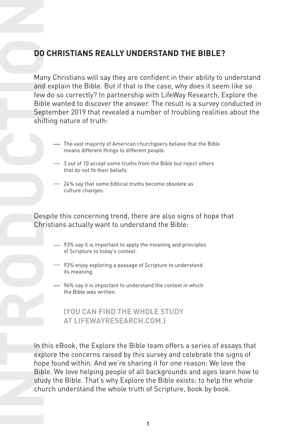**IDD CHRISTIANS REALLY UNDERSTAND THE BIBLE?**<br>
Many Christians will say they are confident in their ability to under contour and explain the Bible . But if the also with the is the case, why does it seemed the discover t Many Christians will say they are confident in their ability to understand and explain the Bible. But if that is the case, why does it seem like so few do so correctly? In partnership with LifeWay Research, Explore the Bible wanted to discover the answer. The result is a survey conducted in September 2019 that revealed a number of troubling realities about the shifting nature of truth:

- The vast majority of American churchgoers believe that the Bible means different things to different people.
- $\rightarrow$  3 out of 10 accept some truths from the Bible but reject others that do not fit their beliefs.
- 24% say that some biblical truths become obsolete as culture changes.

Despite this concerning trend, there are also signs of hope that Christians actually want to understand the Bible:

- $-$  93% say it is important to apply the meaning and principles of Scripture to today's context.
- 93% enjoy exploring a passage of Scripture to understand its meaning.
- $-$  96% say it is important to understand the context in which the Bible was written.

**(YOU CAN FIND THE WHOLE STUDY AT LIFEWAYRESEARCH.COM.)**

In this eBook, the Explore the Bible team offers a series of essays that explore the concerns raised by this survey and celebrate the signs of hope found within. And we're sharing it for one reason: We love the Bible. We love helping people of all backgrounds and ages learn how to study the Bible. That's why Explore the Bible exists: to help the whole church understand the whole truth of Scripture, book by book.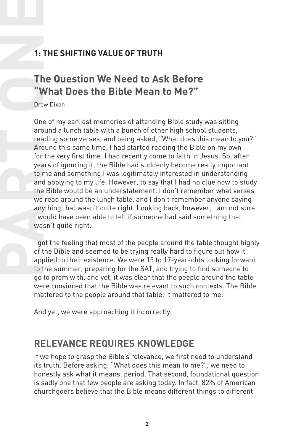#### **The Question We Need to Ask Before "What Does the Bible Mean to Me?"**

Drew Dixon

**1: THE SHIFTING VALUE OF TRUTH**<br> **PART ONEX THE SHIFTING VALUE OF TRUTH**<br> **PART ONEX THE SHIFTING VALUE OF TRUTH**<br> **PART ONEX THE SHIFT ONEX THE SHIFT ONEX THE SHIFT ONEX ONE AND THE SHIFT OF A SAMPLE OF A SAMPLE TO the v** One of my earliest memories of attending Bible study was sitting around a lunch table with a bunch of other high school students, reading some verses, and being asked, "What does this mean to you?" Around this same time, I had started reading the Bible on my own for the very first time. I had recently come to faith in Jesus. So, after years of ignoring it, the Bible had suddenly become really important to me and something I was legitimately interested in understanding and applying to my life. However, to say that I had no clue how to study the Bible would be an understatement. I don't remember what verses we read around the lunch table, and I don't remember anyone saying anything that wasn't quite right. Looking back, however, I am not sure I would have been able to tell if someone had said something that wasn't quite right.

I got the feeling that most of the people around the table thought highly of the Bible and seemed to be trying really hard to figure out how it applied to their existence. We were 15 to 17-year-olds looking forward to the summer, preparing for the SAT, and trying to find someone to go to prom with, and yet, it was clear that the people around the table were convinced that the Bible was relevant to such contexts. The Bible mattered to the people around that table. It mattered to me.

And yet, we were approaching it incorrectly.

#### **RELEVANCE REQUIRES KNOWLEDGE**

If we hope to grasp the Bible's relevance, we first need to understand its truth. Before asking, "What does this mean to me?", we need to honestly ask what it means, period. That second, foundational question is sadly one that few people are asking today. In fact, 82% of American churchgoers believe that the Bible means different things to different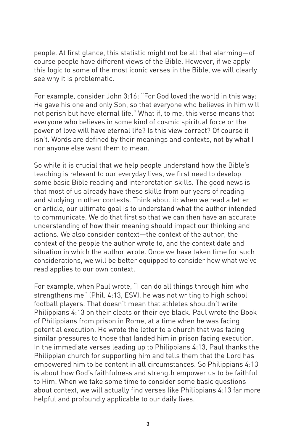people. At first glance, this statistic might not be all that alarming—of course people have different views of the Bible. However, if we apply this logic to some of the most iconic verses in the Bible, we will clearly see why it is problematic.

For example, consider John 3:16: "For God loved the world in this way: He gave his one and only Son, so that everyone who believes in him will not perish but have eternal life." What if, to me, this verse means that everyone who believes in some kind of cosmic spiritual force or the power of love will have eternal life? Is this view correct? Of course it isn't. Words are defined by their meanings and contexts, not by what I nor anyone else want them to mean.

So while it is crucial that we help people understand how the Bible's teaching is relevant to our everyday lives, we first need to develop some basic Bible reading and interpretation skills. The good news is that most of us already have these skills from our years of reading and studying in other contexts. Think about it: when we read a letter or article, our ultimate goal is to understand what the author intended to communicate. We do that first so that we can then have an accurate understanding of how their meaning should impact our thinking and actions. We also consider context—the context of the author, the context of the people the author wrote to, and the context date and situation in which the author wrote. Once we have taken time for such considerations, we will be better equipped to consider how what we've read applies to our own context.

For example, when Paul wrote, "I can do all things through him who strengthens me" (Phil. 4:13, ESV), he was not writing to high school football players. That doesn't mean that athletes shouldn't write Philippians 4:13 on their cleats or their eye black. Paul wrote the Book of Philippians from prison in Rome, at a time when he was facing potential execution. He wrote the letter to a church that was facing similar pressures to those that landed him in prison facing execution. In the immediate verses leading up to Philippians 4:13, Paul thanks the Philippian church for supporting him and tells them that the Lord has empowered him to be content in all circumstances. So Philippians 4:13 is about how God's faithfulness and strength empower us to be faithful to Him. When we take some time to consider some basic questions about context, we will actually find verses like Philippians 4:13 far more helpful and profoundly applicable to our daily lives.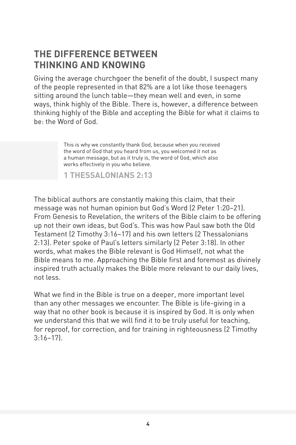#### **THE DIFFERENCE BETWEEN THINKING AND KNOWING**

Giving the average churchgoer the benefit of the doubt, I suspect many of the people represented in that 82% are a lot like those teenagers sitting around the lunch table—they mean well and even, in some ways, think highly of the Bible. There is, however, a difference between thinking highly of the Bible and accepting the Bible for what it claims to be: the Word of God.

> This is why we constantly thank God, because when you received the word of God that you heard from us, you welcomed it not as a human message, but as it truly is, the word of God, which also works effectively in you who believe.

**1 THESSALONIANS 2:13**

The biblical authors are constantly making this claim, that their message was not human opinion but God's Word (2 Peter 1:20–21). From Genesis to Revelation, the writers of the Bible claim to be offering up not their own ideas, but God's. This was how Paul saw both the Old Testament (2 Timothy 3:16–17) and his own letters (2 Thessalonians 2:13). Peter spoke of Paul's letters similarly (2 Peter 3:18). In other words, what makes the Bible relevant is God Himself, not what the Bible means to me. Approaching the Bible first and foremost as divinely inspired truth actually makes the Bible more relevant to our daily lives, not less.

What we find in the Bible is true on a deeper, more important level than any other messages we encounter. The Bible is life-giving in a way that no other book is because it is inspired by God. It is only when we understand this that we will find it to be truly useful for teaching, for reproof, for correction, and for training in righteousness (2 Timothy  $3:16-17$ .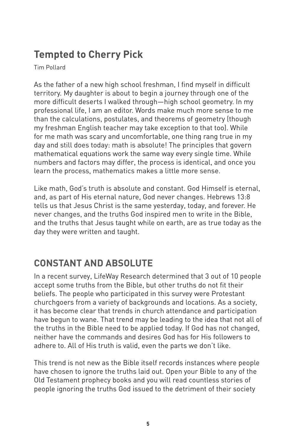## **Tempted to Cherry Pick**

Tim Pollard

As the father of a new high school freshman, I find myself in difficult territory. My daughter is about to begin a journey through one of the more difficult deserts I walked through—high school geometry. In my professional life, I am an editor. Words make much more sense to me than the calculations, postulates, and theorems of geometry (though my freshman English teacher may take exception to that too). While for me math was scary and uncomfortable, one thing rang true in my day and still does today: math is absolute! The principles that govern mathematical equations work the same way every single time. While numbers and factors may differ, the process is identical, and once you learn the process, mathematics makes a little more sense.

Like math, God's truth is absolute and constant. God Himself is eternal, and, as part of His eternal nature, God never changes. Hebrews 13:8 tells us that Jesus Christ is the same yesterday, today, and forever. He never changes, and the truths God inspired men to write in the Bible, and the truths that Jesus taught while on earth, are as true today as the day they were written and taught.

## **CONSTANT AND ABSOLUTE**

In a recent survey, LifeWay Research determined that 3 out of 10 people accept some truths from the Bible, but other truths do not fit their beliefs. The people who participated in this survey were Protestant churchgoers from a variety of backgrounds and locations. As a society, it has become clear that trends in church attendance and participation have begun to wane. That trend may be leading to the idea that not all of the truths in the Bible need to be applied today. If God has not changed, neither have the commands and desires God has for His followers to adhere to. All of His truth is valid, even the parts we don't like.

This trend is not new as the Bible itself records instances where people have chosen to ignore the truths laid out. Open your Bible to any of the Old Testament prophecy books and you will read countless stories of people ignoring the truths God issued to the detriment of their society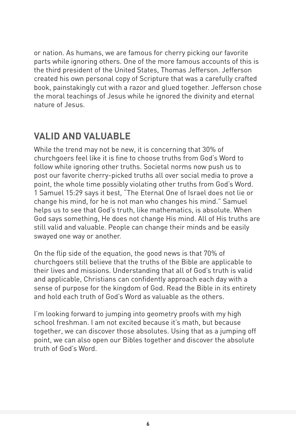or nation. As humans, we are famous for cherry picking our favorite parts while ignoring others. One of the more famous accounts of this is the third president of the United States, Thomas Jefferson. Jefferson created his own personal copy of Scripture that was a carefully crafted book, painstakingly cut with a razor and glued together. Jefferson chose the moral teachings of Jesus while he ignored the divinity and eternal nature of Jesus.

#### **VALID AND VALUABLE**

While the trend may not be new, it is concerning that 30% of churchgoers feel like it is fine to choose truths from God's Word to follow while ignoring other truths. Societal norms now push us to post our favorite cherry-picked truths all over social media to prove a point, the whole time possibly violating other truths from God's Word. 1 Samuel 15:29 says it best, "The Eternal One of Israel does not lie or change his mind, for he is not man who changes his mind." Samuel helps us to see that God's truth, like mathematics, is absolute. When God says something, He does not change His mind. All of His truths are still valid and valuable. People can change their minds and be easily swayed one way or another.

On the flip side of the equation, the good news is that 70% of churchgoers still believe that the truths of the Bible are applicable to their lives and missions. Understanding that all of God's truth is valid and applicable, Christians can confidently approach each day with a sense of purpose for the kingdom of God. Read the Bible in its entirety and hold each truth of God's Word as valuable as the others.

I'm looking forward to jumping into geometry proofs with my high school freshman. I am not excited because it's math, but because together, we can discover those absolutes. Using that as a jumping off point, we can also open our Bibles together and discover the absolute truth of God's Word.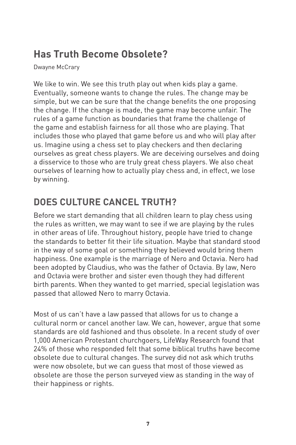# **Has Truth Become Obsolete?**

Dwayne McCrary

We like to win. We see this truth play out when kids play a game. Eventually, someone wants to change the rules. The change may be simple, but we can be sure that the change benefits the one proposing the change. If the change is made, the game may become unfair. The rules of a game function as boundaries that frame the challenge of the game and establish fairness for all those who are playing. That includes those who played that game before us and who will play after us. Imagine using a chess set to play checkers and then declaring ourselves as great chess players. We are deceiving ourselves and doing a disservice to those who are truly great chess players. We also cheat ourselves of learning how to actually play chess and, in effect, we lose by winning.

## **DOES CULTURE CANCEL TRUTH?**

Before we start demanding that all children learn to play chess using the rules as written, we may want to see if we are playing by the rules in other areas of life. Throughout history, people have tried to change the standards to better fit their life situation. Maybe that standard stood in the way of some goal or something they believed would bring them happiness. One example is the marriage of Nero and Octavia. Nero had been adopted by Claudius, who was the father of Octavia. By law, Nero and Octavia were brother and sister even though they had different birth parents. When they wanted to get married, special legislation was passed that allowed Nero to marry Octavia.

Most of us can't have a law passed that allows for us to change a cultural norm or cancel another law. We can, however, argue that some standards are old fashioned and thus obsolete. In a recent study of over 1,000 American Protestant churchgoers, LifeWay Research found that 24% of those who responded felt that some biblical truths have become obsolete due to cultural changes. The survey did not ask which truths were now obsolete, but we can guess that most of those viewed as obsolete are those the person surveyed view as standing in the way of their happiness or rights.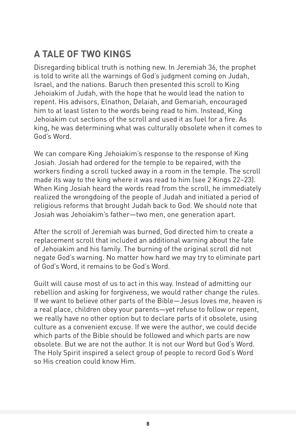# **A TALE OF TWO KINGS**

Disregarding biblical truth is nothing new. In Jeremiah 36, the prophet is told to write all the warnings of God's judgment coming on Judah, Israel, and the nations. Baruch then presented this scroll to King Jehoiakim of Judah, with the hope that he would lead the nation to repent. His advisors, Elnathon, Delaiah, and Gemariah, encouraged him to at least listen to the words being read to him. Instead, King Jehoiakim cut sections of the scroll and used it as fuel for a fire. As king, he was determining what was culturally obsolete when it comes to God's Word.

We can compare King Jehoiakim's response to the response of King Josiah. Josiah had ordered for the temple to be repaired, with the workers finding a scroll tucked away in a room in the temple. The scroll made its way to the king where it was read to him (see 2 Kings 22–23). When King Josiah heard the words read from the scroll, he immediately realized the wrongdoing of the people of Judah and initiated a period of religious reforms that brought Judah back to God. We should note that Josiah was Jehoiakim's father—two men, one generation apart.

After the scroll of Jeremiah was burned, God directed him to create a replacement scroll that included an additional warning about the fate of Jehoiakim and his family. The burning of the original scroll did not negate God's warning. No matter how hard we may try to eliminate part of God's Word, it remains to be God's Word.

Guilt will cause most of us to act in this way. Instead of admitting our rebellion and asking for forgiveness, we would rather change the rules. If we want to believe other parts of the Bible—Jesus loves me, heaven is a real place, children obey your parents—yet refuse to follow or repent, we really have no other option but to declare parts of it obsolete, using culture as a convenient excuse. If we were the author, we could decide which parts of the Bible should be followed and which parts are now obsolete. But we are not the author. It is not our Word but God's Word. The Holy Spirit inspired a select group of people to record God's Word so His creation could know Him.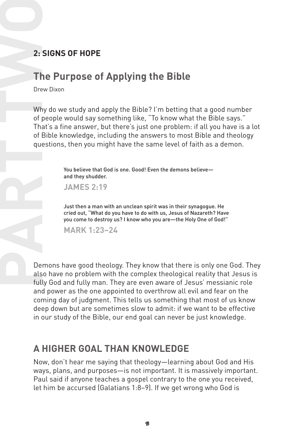#### **The Purpose of Applying the Bible**

Drew Dixon

**PART THE PUTPOSE OF HOPE**<br> **PART THE PUTPOSE OF THE PUTPOSE OF DEVALUATION**<br>
Why do we study and<br>
of people would say s<br>
That's a fine answer,<br>
of Bible knowledge, in<br>
questions, then you n<br>
You believe that<br>
and they shu Why do we study and apply the Bible? I'm betting that a good number of people would say something like, "To know what the Bible says." That's a fine answer, but there's just one problem: if all you have is a lot of Bible knowledge, including the answers to most Bible and theology questions, then you might have the same level of faith as a demon.

You believe that God is one. Good! Even the demons believe and they shudder.

**JAMES 2:19**

Just then a man with an unclean spirit was in their synagogue. He cried out, "What do you have to do with us, Jesus of Nazareth? Have you come to destroy us? I know who you are—the Holy One of God!"

**MARK 1:23–24**

Demons have good theology. They know that there is only one God. They also have no problem with the complex theological reality that Jesus is fully God and fully man. They are even aware of Jesus' messianic role and power as the one appointed to overthrow all evil and fear on the coming day of judgment. This tells us something that most of us know deep down but are sometimes slow to admit: if we want to be effective in our study of the Bible, our end goal can never be just knowledge.

#### **A HIGHER GOAL THAN KNOWLEDGE**

Now, don't hear me saying that theology—learning about God and His ways, plans, and purposes—is not important. It is massively important. Paul said if anyone teaches a gospel contrary to the one you received, let him be accursed (Galatians 1:8–9). If we get wrong who God is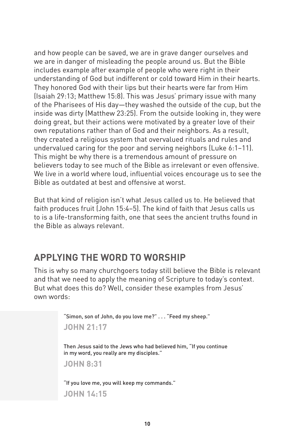and how people can be saved, we are in grave danger ourselves and we are in danger of misleading the people around us. But the Bible includes example after example of people who were right in their understanding of God but indifferent or cold toward Him in their hearts. They honored God with their lips but their hearts were far from Him (Isaiah 29:13; Matthew 15:8). This was Jesus' primary issue with many of the Pharisees of His day—they washed the outside of the cup, but the inside was dirty (Matthew 23:25). From the outside looking in, they were doing great, but their actions were motivated by a greater love of their own reputations rather than of God and their neighbors. As a result, they created a religious system that overvalued rituals and rules and undervalued caring for the poor and serving neighbors (Luke 6:1–11). This might be why there is a tremendous amount of pressure on believers today to see much of the Bible as irrelevant or even offensive. We live in a world where loud, influential voices encourage us to see the Bible as outdated at best and offensive at worst.

But that kind of religion isn't what Jesus called us to. He believed that faith produces fruit (John 15:4–5). The kind of faith that Jesus calls us to is a life-transforming faith, one that sees the ancient truths found in the Bible as always relevant.

#### **APPLYING THE WORD TO WORSHIP**

This is why so many churchgoers today still believe the Bible is relevant and that we need to apply the meaning of Scripture to today's context. But what does this do? Well, consider these examples from Jesus' own words:

"Simon, son of John, do you love me?" . . . "Feed my sheep."

**JOHN 21:17**

Then Jesus said to the Jews who had believed him, "If you continue in my word, you really are my disciples."

**JOHN 8:31**

"If you love me, you will keep my commands."

**JOHN 14:15**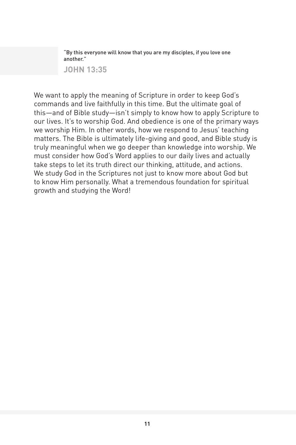"By this everyone will know that you are my disciples, if you love one another."

**JOHN 13:35**

We want to apply the meaning of Scripture in order to keep God's commands and live faithfully in this time. But the ultimate goal of this—and of Bible study—isn't simply to know how to apply Scripture to our lives. It's to worship God. And obedience is one of the primary ways we worship Him. In other words, how we respond to Jesus' teaching matters. The Bible is ultimately life-giving and good, and Bible study is truly meaningful when we go deeper than knowledge into worship. We must consider how God's Word applies to our daily lives and actually take steps to let its truth direct our thinking, attitude, and actions. We study God in the Scriptures not just to know more about God but to know Him personally. What a tremendous foundation for spiritual growth and studying the Word!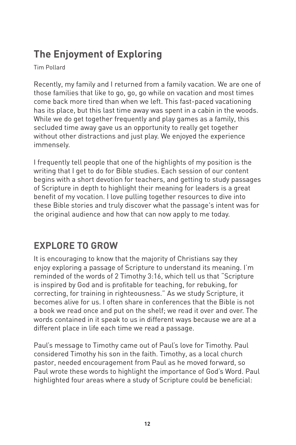# **The Enjoyment of Exploring**

Tim Pollard

Recently, my family and I returned from a family vacation. We are one of those families that like to go, go, go while on vacation and most times come back more tired than when we left. This fast-paced vacationing has its place, but this last time away was spent in a cabin in the woods. While we do get together frequently and play games as a family, this secluded time away gave us an opportunity to really get together without other distractions and just play. We enjoyed the experience immensely.

I frequently tell people that one of the highlights of my position is the writing that I get to do for Bible studies. Each session of our content begins with a short devotion for teachers, and getting to study passages of Scripture in depth to highlight their meaning for leaders is a great benefit of my vocation. I love pulling together resources to dive into these Bible stories and truly discover what the passage's intent was for the original audience and how that can now apply to me today.

## **EXPLORE TO GROW**

It is encouraging to know that the majority of Christians say they enjoy exploring a passage of Scripture to understand its meaning. I'm reminded of the words of 2 Timothy 3:16, which tell us that "Scripture is inspired by God and is profitable for teaching, for rebuking, for correcting, for training in righteousness." As we study Scripture, it becomes alive for us. I often share in conferences that the Bible is not a book we read once and put on the shelf; we read it over and over. The words contained in it speak to us in different ways because we are at a different place in life each time we read a passage.

Paul's message to Timothy came out of Paul's love for Timothy. Paul considered Timothy his son in the faith. Timothy, as a local church pastor, needed encouragement from Paul as he moved forward, so Paul wrote these words to highlight the importance of God's Word. Paul highlighted four areas where a study of Scripture could be beneficial: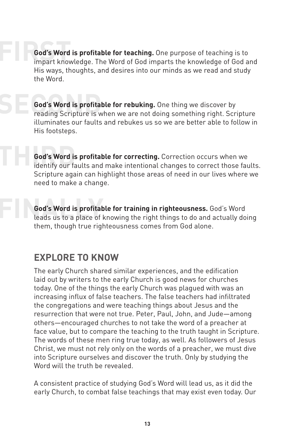**FIRST**<br>**FIRST**<br>**FIRST**<br>**FIRST**<br>**FIRST**<br>**FIRST God's Word is profitable for teaching.** One purpose of teaching is to impart knowledge. The Word of God imparts the knowledge of God and His ways, thoughts, and desires into our minds as we read and study the Word.

**SECONDE S**<br>**SECONDE SECONDE SECONDE S**<br>**SECONDE SECONDE SECONDE SECONDE SECONDE SECONDE SECONDE SECONDE SECONDE SECONDE SECONDE SECONDE SECONDE SECONDE SECONDE SECONDE SECONDE SECONDE SECONDE SECONDE SECONDE SECONDE SECON God's Word is profitable for rebuking.** One thing we discover by reading Scripture is when we are not doing something right. Scripture illuminates our faults and rebukes us so we are better able to follow in His footsteps.

**THIRD**<br>**THIRD God's Word** is<br>identify our fa **God's Word is profitable for correcting.** Correction occurs when we identify our faults and make intentional changes to correct those faults. Scripture again can highlight those areas of need in our lives where we need to make a change.

**FINALLY Cod's Word is profitable for training in righteousness.** God's Word<br>leads us to a place of knowing the right things to do and actually doing **God's Word is profitable for training in righteousness.** God's Word them, though true righteousness comes from God alone.

#### **EXPLORE TO KNOW**

The early Church shared similar experiences, and the edification laid out by writers to the early Church is good news for churches today. One of the things the early Church was plagued with was an increasing influx of false teachers. The false teachers had infiltrated the congregations and were teaching things about Jesus and the resurrection that were not true. Peter, Paul, John, and Jude—among others—encouraged churches to not take the word of a preacher at face value, but to compare the teaching to the truth taught in Scripture. The words of these men ring true today, as well. As followers of Jesus Christ, we must not rely only on the words of a preacher, we must dive into Scripture ourselves and discover the truth. Only by studying the Word will the truth be revealed.

A consistent practice of studying God's Word will lead us, as it did the early Church, to combat false teachings that may exist even today. Our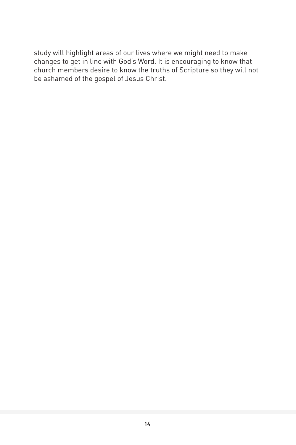study will highlight areas of our lives where we might need to make changes to get in line with God's Word. It is encouraging to know that church members desire to know the truths of Scripture so they will not be ashamed of the gospel of Jesus Christ.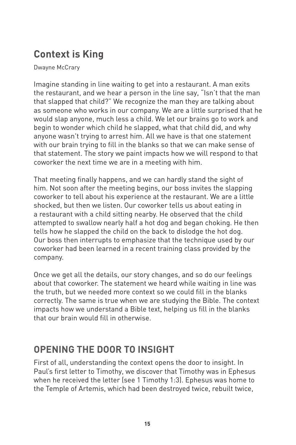# **Context is King**

Dwayne McCrary

Imagine standing in line waiting to get into a restaurant. A man exits the restaurant, and we hear a person in the line say, "Isn't that the man that slapped that child?" We recognize the man they are talking about as someone who works in our company. We are a little surprised that he would slap anyone, much less a child. We let our brains go to work and begin to wonder which child he slapped, what that child did, and why anyone wasn't trying to arrest him. All we have is that one statement with our brain trying to fill in the blanks so that we can make sense of that statement. The story we paint impacts how we will respond to that coworker the next time we are in a meeting with him.

That meeting finally happens, and we can hardly stand the sight of him. Not soon after the meeting begins, our boss invites the slapping coworker to tell about his experience at the restaurant. We are a little shocked, but then we listen. Our coworker tells us about eating in a restaurant with a child sitting nearby. He observed that the child attempted to swallow nearly half a hot dog and began choking. He then tells how he slapped the child on the back to dislodge the hot dog. Our boss then interrupts to emphasize that the technique used by our coworker had been learned in a recent training class provided by the company.

Once we get all the details, our story changes, and so do our feelings about that coworker. The statement we heard while waiting in line was the truth, but we needed more context so we could fill in the blanks correctly. The same is true when we are studying the Bible. The context impacts how we understand a Bible text, helping us fill in the blanks that our brain would fill in otherwise.

#### **OPENING THE DOOR TO INSIGHT**

First of all, understanding the context opens the door to insight. In Paul's first letter to Timothy, we discover that Timothy was in Ephesus when he received the letter (see 1 Timothy 1:3). Ephesus was home to the Temple of Artemis, which had been destroyed twice, rebuilt twice,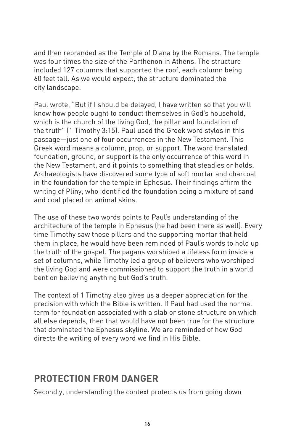and then rebranded as the Temple of Diana by the Romans. The temple was four times the size of the Parthenon in Athens. The structure included 127 columns that supported the roof, each column being 60 feet tall. As we would expect, the structure dominated the city landscape.

Paul wrote, "But if I should be delayed, I have written so that you will know how people ought to conduct themselves in God's household, which is the church of the living God, the pillar and foundation of the truth" (1 Timothy 3:15). Paul used the Greek word stylos in this passage—just one of four occurrences in the New Testament. This Greek word means a column, prop, or support. The word translated foundation, ground, or support is the only occurrence of this word in the New Testament, and it points to something that steadies or holds. Archaeologists have discovered some type of soft mortar and charcoal in the foundation for the temple in Ephesus. Their findings affirm the writing of Pliny, who identified the foundation being a mixture of sand and coal placed on animal skins.

The use of these two words points to Paul's understanding of the architecture of the temple in Ephesus (he had been there as well). Every time Timothy saw those pillars and the supporting mortar that held them in place, he would have been reminded of Paul's words to hold up the truth of the gospel. The pagans worshiped a lifeless form inside a set of columns, while Timothy led a group of believers who worshiped the living God and were commissioned to support the truth in a world bent on believing anything but God's truth.

The context of 1 Timothy also gives us a deeper appreciation for the precision with which the Bible is written. If Paul had used the normal term for foundation associated with a slab or stone structure on which all else depends, then that would have not been true for the structure that dominated the Ephesus skyline. We are reminded of how God directs the writing of every word we find in His Bible.

#### **PROTECTION FROM DANGER**

Secondly, understanding the context protects us from going down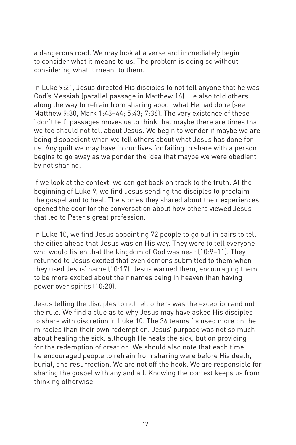a dangerous road. We may look at a verse and immediately begin to consider what it means to us. The problem is doing so without considering what it meant to them.

In Luke 9:21, Jesus directed His disciples to not tell anyone that he was God's Messiah (parallel passage in Matthew 16). He also told others along the way to refrain from sharing about what He had done (see Matthew 9:30, Mark 1:43–44; 5:43; 7:36). The very existence of these "don't tell" passages moves us to think that maybe there are times that we too should not tell about Jesus. We begin to wonder if maybe we are being disobedient when we tell others about what Jesus has done for us. Any guilt we may have in our lives for failing to share with a person begins to go away as we ponder the idea that maybe we were obedient by not sharing.

If we look at the context, we can get back on track to the truth. At the beginning of Luke 9, we find Jesus sending the disciples to proclaim the gospel and to heal. The stories they shared about their experiences opened the door for the conversation about how others viewed Jesus that led to Peter's great profession.

In Luke 10, we find Jesus appointing 72 people to go out in pairs to tell the cities ahead that Jesus was on His way. They were to tell everyone who would listen that the kingdom of God was near (10:9–11). They returned to Jesus excited that even demons submitted to them when they used Jesus' name (10:17). Jesus warned them, encouraging them to be more excited about their names being in heaven than having power over spirits (10:20).

Jesus telling the disciples to not tell others was the exception and not the rule. We find a clue as to why Jesus may have asked His disciples to share with discretion in Luke 10. The 36 teams focused more on the miracles than their own redemption. Jesus' purpose was not so much about healing the sick, although He heals the sick, but on providing for the redemption of creation. We should also note that each time he encouraged people to refrain from sharing were before His death, burial, and resurrection. We are not off the hook. We are responsible for sharing the gospel with any and all. Knowing the context keeps us from thinking otherwise.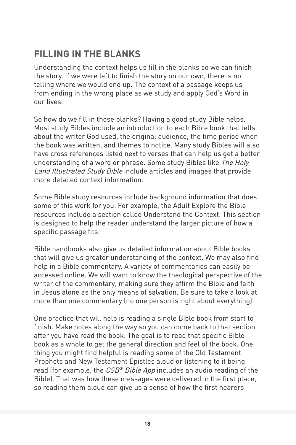## **FILLING IN THE BLANKS**

Understanding the context helps us fill in the blanks so we can finish the story. If we were left to finish the story on our own, there is no telling where we would end up. The context of a passage keeps us from ending in the wrong place as we study and apply God's Word in our lives.

So how do we fill in those blanks? Having a good study Bible helps. Most study Bibles include an introduction to each Bible book that tells about the writer God used, the original audience, the time period when the book was written, and themes to notice. Many study Bibles will also have cross references listed next to verses that can help us get a better understanding of a word or phrase. Some study Bibles like The Holy Land Illustrated Study Bible include articles and images that provide more detailed context information.

Some Bible study resources include background information that does some of this work for you. For example, the Adult Explore the Bible resources include a section called Understand the Context. This section is designed to help the reader understand the larger picture of how a specific passage fits.

Bible handbooks also give us detailed information about Bible books that will give us greater understanding of the context. We may also find help in a Bible commentary. A variety of commentaries can easily be accessed online. We will want to know the theological perspective of the writer of the commentary, making sure they affirm the Bible and faith in Jesus alone as the only means of salvation. Be sure to take a look at more than one commentary (no one person is right about everything).

One practice that will help is reading a single Bible book from start to finish. Make notes along the way so you can come back to that section after you have read the book. The goal is to read that specific Bible book as a whole to get the general direction and feel of the book. One thing you might find helpful is reading some of the Old Testament Prophets and New Testament Epistles aloud or listening to it being read (for example, the CSB® Bible App includes an audio reading of the Bible). That was how these messages were delivered in the first place, so reading them aloud can give us a sense of how the first hearers